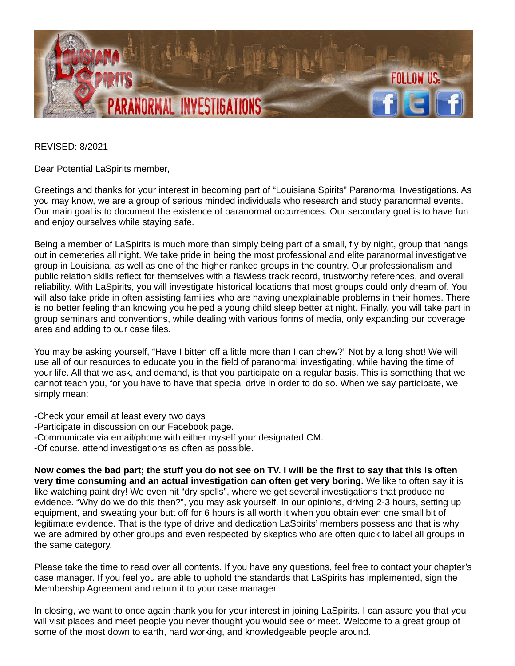

REVISED: 8/2021

Dear Potential LaSpirits member,

Greetings and thanks for your interest in becoming part of "Louisiana Spirits" Paranormal Investigations. As you may know, we are a group of serious minded individuals who research and study paranormal events. Our main goal is to document the existence of paranormal occurrences. Our secondary goal is to have fun and enjoy ourselves while staying safe.

Being a member of LaSpirits is much more than simply being part of a small, fly by night, group that hangs out in cemeteries all night. We take pride in being the most professional and elite paranormal investigative group in Louisiana, as well as one of the higher ranked groups in the country. Our professionalism and public relation skills reflect for themselves with a flawless track record, trustworthy references, and overall reliability. With LaSpirits, you will investigate historical locations that most groups could only dream of. You will also take pride in often assisting families who are having unexplainable problems in their homes. There is no better feeling than knowing you helped a young child sleep better at night. Finally, you will take part in group seminars and conventions, while dealing with various forms of media, only expanding our coverage area and adding to our case files.

You may be asking yourself, "Have I bitten off a little more than I can chew?" Not by a long shot! We will use all of our resources to educate you in the field of paranormal investigating, while having the time of your life. All that we ask, and demand, is that you participate on a regular basis. This is something that we cannot teach you, for you have to have that special drive in order to do so. When we say participate, we simply mean:

-Check your email at least every two days

- -Participate in discussion on our Facebook page.
- -Communicate via email/phone with either myself your designated CM.
- -Of course, attend investigations as often as possible.

**Now comes the bad part; the stuff you do not see on TV. I will be the first to say that this is often very time consuming and an actual investigation can often get very boring.** We like to often say it is like watching paint dry! We even hit "dry spells", where we get several investigations that produce no evidence. "Why do we do this then?", you may ask yourself. In our opinions, driving 2-3 hours, setting up equipment, and sweating your butt off for 6 hours is all worth it when you obtain even one small bit of legitimate evidence. That is the type of drive and dedication LaSpirits' members possess and that is why we are admired by other groups and even respected by skeptics who are often quick to label all groups in the same category.

Please take the time to read over all contents. If you have any questions, feel free to contact your chapter's case manager. If you feel you are able to uphold the standards that LaSpirits has implemented, sign the Membership Agreement and return it to your case manager.

In closing, we want to once again thank you for your interest in joining LaSpirits. I can assure you that you will visit places and meet people you never thought you would see or meet. Welcome to a great group of some of the most down to earth, hard working, and knowledgeable people around.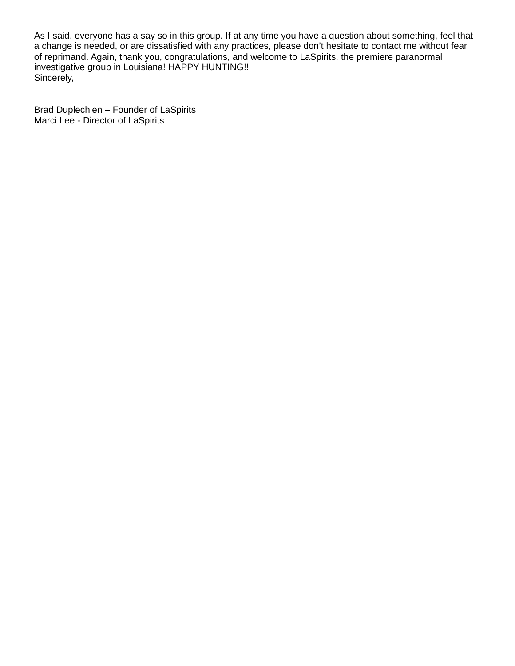As I said, everyone has a say so in this group. If at any time you have a question about something, feel that a change is needed, or are dissatisfied with any practices, please don't hesitate to contact me without fear of reprimand. Again, thank you, congratulations, and welcome to LaSpirits, the premiere paranormal investigative group in Louisiana! HAPPY HUNTING!! Sincerely,

Brad Duplechien – Founder of LaSpirits Marci Lee - Director of LaSpirits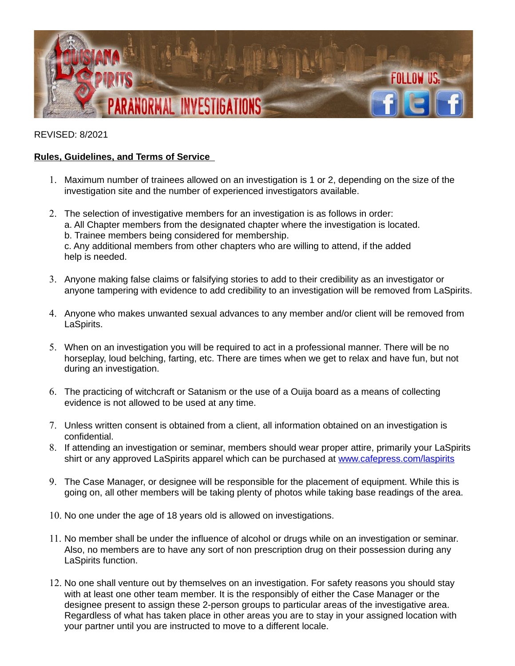

## REVISED: 8/2021

## **Rules, Guidelines, and Terms of Service**

- 1. Maximum number of trainees allowed on an investigation is 1 or 2, depending on the size of the investigation site and the number of experienced investigators available.
- 2. The selection of investigative members for an investigation is as follows in order: a. All Chapter members from the designated chapter where the investigation is located. b. Trainee members being considered for membership. c. Any additional members from other chapters who are willing to attend, if the added help is needed.
- 3. Anyone making false claims or falsifying stories to add to their credibility as an investigator or anyone tampering with evidence to add credibility to an investigation will be removed from LaSpirits.
- 4. Anyone who makes unwanted sexual advances to any member and/or client will be removed from LaSpirits.
- 5. When on an investigation you will be required to act in a professional manner. There will be no horseplay, loud belching, farting, etc. There are times when we get to relax and have fun, but not during an investigation.
- 6. The practicing of witchcraft or Satanism or the use of a Ouija board as a means of collecting evidence is not allowed to be used at any time.
- 7. Unless written consent is obtained from a client, all information obtained on an investigation is confidential.
- 8. If attending an investigation or seminar, members should wear proper attire, primarily your LaSpirits shirt or any approved LaSpirits apparel which can be purchased at [www.cafepress.com/laspirits](http://www.cafepress.com/laspirits)
- 9. The Case Manager, or designee will be responsible for the placement of equipment. While this is going on, all other members will be taking plenty of photos while taking base readings of the area.
- 10. No one under the age of 18 years old is allowed on investigations.
- 11. No member shall be under the influence of alcohol or drugs while on an investigation or seminar. Also, no members are to have any sort of non prescription drug on their possession during any LaSpirits function.
- 12. No one shall venture out by themselves on an investigation. For safety reasons you should stay with at least one other team member. It is the responsibly of either the Case Manager or the designee present to assign these 2-person groups to particular areas of the investigative area. Regardless of what has taken place in other areas you are to stay in your assigned location with your partner until you are instructed to move to a different locale.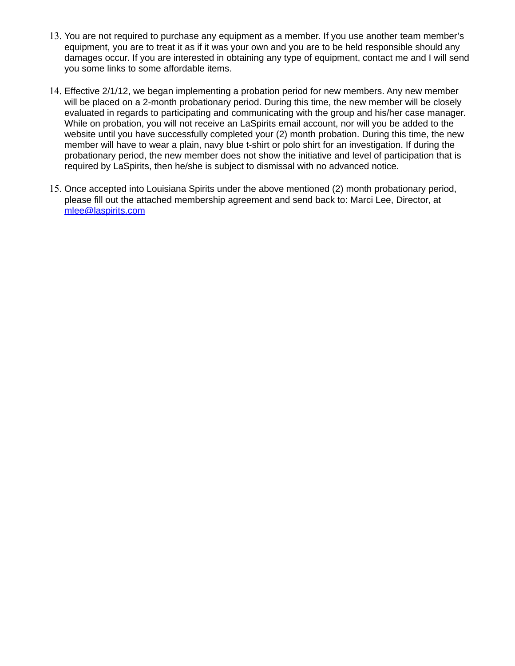- 13. You are not required to purchase any equipment as a member. If you use another team member's equipment, you are to treat it as if it was your own and you are to be held responsible should any damages occur. If you are interested in obtaining any type of equipment, contact me and I will send you some links to some affordable items.
- 14. Effective 2/1/12, we began implementing a probation period for new members. Any new member will be placed on a 2-month probationary period. During this time, the new member will be closely evaluated in regards to participating and communicating with the group and his/her case manager. While on probation, you will not receive an LaSpirits email account, nor will you be added to the website until you have successfully completed your (2) month probation. During this time, the new member will have to wear a plain, navy blue t-shirt or polo shirt for an investigation. If during the probationary period, the new member does not show the initiative and level of participation that is required by LaSpirits, then he/she is subject to dismissal with no advanced notice.
- 15. Once accepted into Louisiana Spirits under the above mentioned (2) month probationary period, please fill out the attached membership agreement and send back to: Marci Lee, Director, at [mlee@laspirits.com](mailto:mlee@laspirits.com)